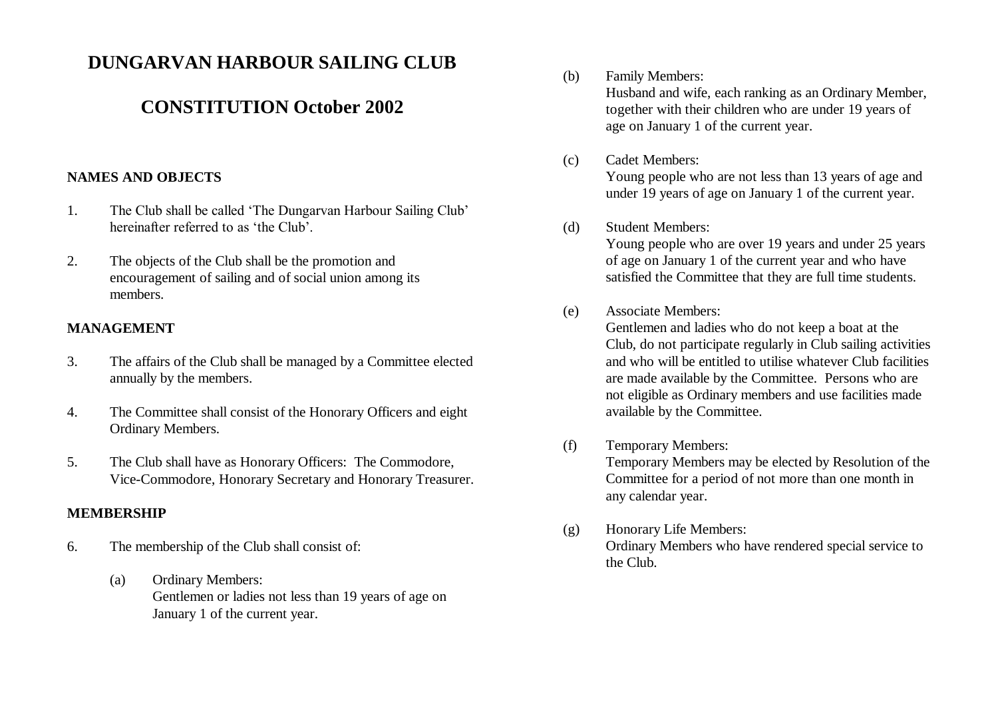# **DUNGARVAN HARBOUR SAILING CLUB**

# **CONSTITUTION October 2002**

## **NAMES AND OBJECTS**

- 1. The Club shall be called 'The Dungarvan Harbour Sailing Club' hereinafter referred to as 'the Club'.
- 2. The objects of the Club shall be the promotion and encouragement of sailing and of social union among its members.

### **MANAGEMENT**

- 3. The affairs of the Club shall be managed by a Committee elected annually by the members.
- 4. The Committee shall consist of the Honorary Officers and eight Ordinary Members.
- 5. The Club shall have as Honorary Officers: The Commodore, Vice-Commodore, Honorary Secretary and Honorary Treasurer.

#### **MEMBERSHIP**

- 6. The membership of the Club shall consist of:
	- (a) Ordinary Members: Gentlemen or ladies not less than 19 years of age on January 1 of the current year.

(b) Family Members:

Husband and wife, each ranking as an Ordinary Member, together with their children who are under 19 years of age on January 1 of the current year.

#### (c) Cadet Members:

Young people who are not less than 13 years of age and under 19 years of age on January 1 of the current year.

#### (d) Student Members:

Young people who are over 19 years and under 25 years of age on January 1 of the current year and who have satisfied the Committee that they are full time students.

# (e) Associate Members:

Gentlemen and ladies who do not keep a boat at the Club, do not participate regularly in Club sailing activities and who will be entitled to utilise whatever Club facilities are made available by the Committee. Persons who are not eligible as Ordinary members and use facilities made available by the Committee.

- (f) Temporary Members: Temporary Members may be elected by Resolution of the Committee for a period of not more than one month in any calendar year.
- (g) Honorary Life Members: Ordinary Members who have rendered special service to the Club.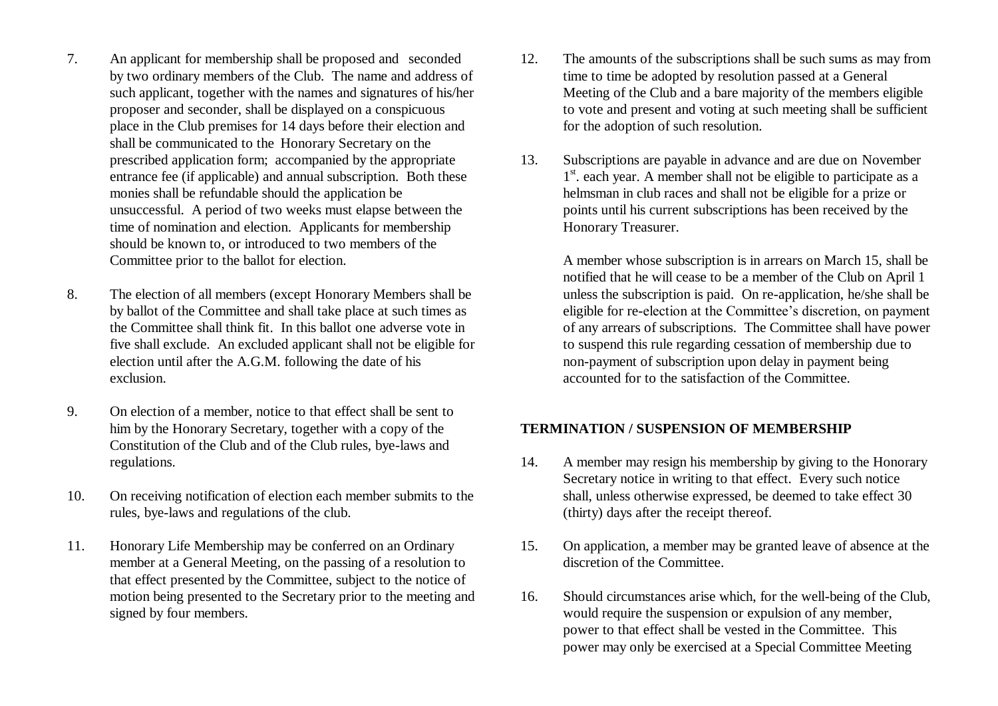- 7. An applicant for membership shall be proposed and seconded by two ordinary members of the Club. The name and address of such applicant, together with the names and signatures of his/her proposer and seconder, shall be displayed on a conspicuous place in the Club premises for 14 days before their election and shall be communicated to the Honorary Secretary on the prescribed application form; accompanied by the appropriate entrance fee (if applicable) and annual subscription. Both these monies shall be refundable should the application be unsuccessful. A period of two weeks must elapse between the time of nomination and election. Applicants for membership should be known to, or introduced to two members of the Committee prior to the ballot for election.
- 8. The election of all members (except Honorary Members shall be by ballot of the Committee and shall take place at such times as the Committee shall think fit. In this ballot one adverse vote in five shall exclude. An excluded applicant shall not be eligible for election until after the A.G.M. following the date of his exclusion.
- 9. On election of a member, notice to that effect shall be sent to him by the Honorary Secretary, together with a copy of the Constitution of the Club and of the Club rules, bye-laws and regulations.
- 10. On receiving notification of election each member submits to the rules, bye-laws and regulations of the club.
- 11. Honorary Life Membership may be conferred on an Ordinary member at a General Meeting, on the passing of a resolution to that effect presented by the Committee, subject to the notice of motion being presented to the Secretary prior to the meeting and signed by four members.
- 12. The amounts of the subscriptions shall be such sums as may from time to time be adopted by resolution passed at a General Meeting of the Club and a bare majority of the members eligible to vote and present and voting at such meeting shall be sufficient for the adoption of such resolution.
- 13. Subscriptions are payable in advance and are due on November 1<sup>st</sup>. each year. A member shall not be eligible to participate as a helmsman in club races and shall not be eligible for a prize or points until his current subscriptions has been received by the Honorary Treasurer.

A member whose subscription is in arrears on March 15, shall be notified that he will cease to be a member of the Club on April 1 unless the subscription is paid. On re-application, he/she shall be eligible for re-election at the Committee's discretion, on payment of any arrears of subscriptions. The Committee shall have power to suspend this rule regarding cessation of membership due to non-payment of subscription upon delay in payment being accounted for to the satisfaction of the Committee.

#### **TERMINATION / SUSPENSION OF MEMBERSHIP**

- 14. A member may resign his membership by giving to the Honorary Secretary notice in writing to that effect. Every such notice shall, unless otherwise expressed, be deemed to take effect 30 (thirty) days after the receipt thereof.
- 15. On application, a member may be granted leave of absence at the discretion of the Committee.
- 16. Should circumstances arise which, for the well-being of the Club, would require the suspension or expulsion of any member, power to that effect shall be vested in the Committee. This power may only be exercised at a Special Committee Meeting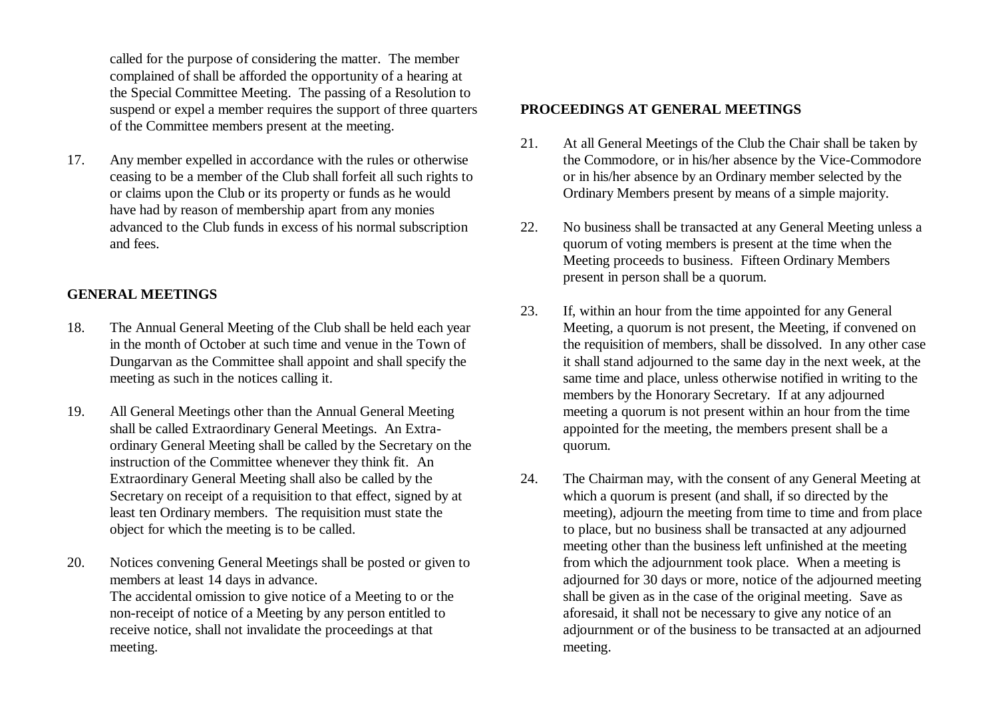called for the purpose of considering the matter. The member complained of shall be afforded the opportunity of a hearing at the Special Committee Meeting. The passing of a Resolution to suspend or expel a member requires the support of three quarters of the Committee members present at the meeting.

17. Any member expelled in accordance with the rules or otherwise ceasing to be a member of the Club shall forfeit all such rights to or claims upon the Club or its property or funds as he would have had by reason of membership apart from any monies advanced to the Club funds in excess of his normal subscription and fees.

## **GENERAL MEETINGS**

- 18. The Annual General Meeting of the Club shall be held each year in the month of October at such time and venue in the Town of Dungarvan as the Committee shall appoint and shall specify the meeting as such in the notices calling it.
- 19. All General Meetings other than the Annual General Meeting shall be called Extraordinary General Meetings. An Extraordinary General Meeting shall be called by the Secretary on the instruction of the Committee whenever they think fit. An Extraordinary General Meeting shall also be called by the Secretary on receipt of a requisition to that effect, signed by at least ten Ordinary members. The requisition must state the object for which the meeting is to be called.
- 20. Notices convening General Meetings shall be posted or given to members at least 14 days in advance. The accidental omission to give notice of a Meeting to or the non-receipt of notice of a Meeting by any person entitled to

receive notice, shall not invalidate the proceedings at that meeting.

## **PROCEEDINGS AT GENERAL MEETINGS**

- 21. At all General Meetings of the Club the Chair shall be taken by the Commodore, or in his/her absence by the Vice-Commodore or in his/her absence by an Ordinary member selected by the Ordinary Members present by means of a simple majority.
- 22. No business shall be transacted at any General Meeting unless a quorum of voting members is present at the time when the Meeting proceeds to business. Fifteen Ordinary Members present in person shall be a quorum.
- 23. If, within an hour from the time appointed for any General Meeting, a quorum is not present, the Meeting, if convened on the requisition of members, shall be dissolved. In any other case it shall stand adjourned to the same day in the next week, at the same time and place, unless otherwise notified in writing to the members by the Honorary Secretary. If at any adjourned meeting a quorum is not present within an hour from the time appointed for the meeting, the members present shall be a quorum.
- 24. The Chairman may, with the consent of any General Meeting at which a quorum is present (and shall, if so directed by the meeting), adjourn the meeting from time to time and from place to place, but no business shall be transacted at any adjourned meeting other than the business left unfinished at the meeting from which the adjournment took place. When a meeting is adjourned for 30 days or more, notice of the adjourned meeting shall be given as in the case of the original meeting. Save as aforesaid, it shall not be necessary to give any notice of an adjournment or of the business to be transacted at an adjourned meeting.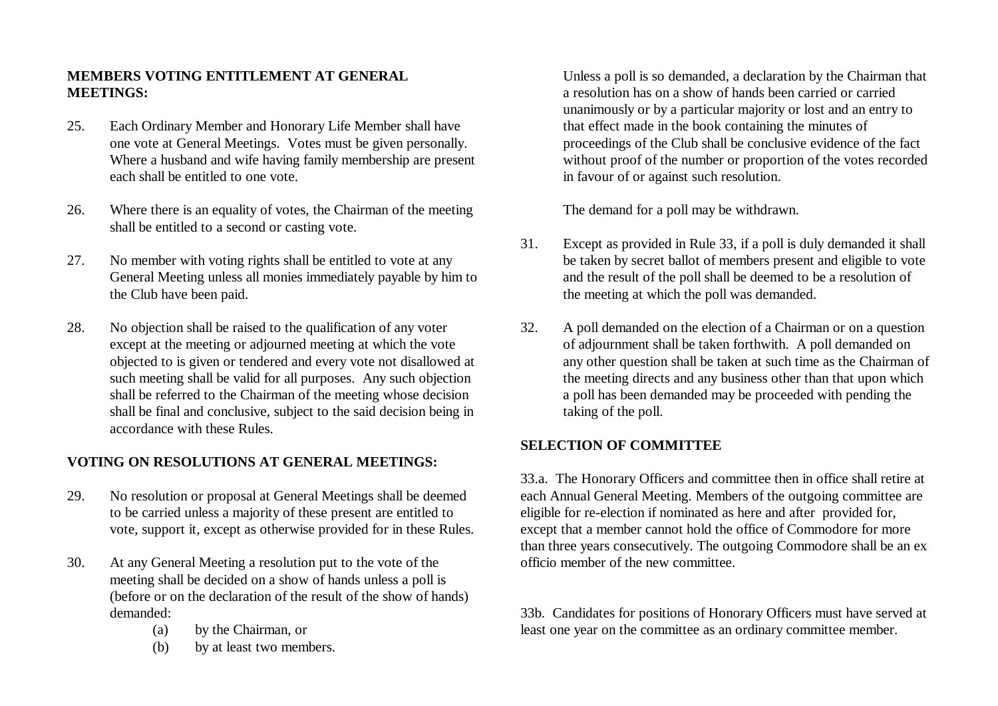# **MEMBERS VOTING ENTITLEMENT AT GENERAL MEETINGS:**

- 25. Each Ordinary Member and Honorary Life Member shall have one vote at General Meetings. Votes must be given personally. Where a husband and wife having family membership are present each shall be entitled to one vote.
- 26. Where there is an equality of votes, the Chairman of the meeting shall be entitled to a second or casting vote.
- 27. No member with voting rights shall be entitled to vote at any General Meeting unless all monies immediately payable by him to the Club have been paid.
- 28. No objection shall be raised to the qualification of any voter except at the meeting or adjourned meeting at which the vote objected to is given or tendered and every vote not disallowed at such meeting shall be valid for all purposes. Any such objection shall be referred to the Chairman of the meeting whose decision shall be final and conclusive, subject to the said decision being in accordance with these Rules.

## **VOTING ON RESOLUTIONS AT GENERAL MEETINGS:**

- 29. No resolution or proposal at General Meetings shall be deemed to be carried unless a majority of these present are entitled to vote, support it, except as otherwise provided for in these Rules.
- 30. At any General Meeting a resolution put to the vote of the meeting shall be decided on a show of hands unless a poll is (before or on the declaration of the result of the show of hands) demanded:
	- (a) by the Chairman, or
	- (b) by at least two members.

Unless a poll is so demanded, a declaration by the Chairman that a resolution has on a show of hands been carried or carried unanimously or by a particular majority or lost and an entry to that effect made in the book containing the minutes of proceedings of the Club shall be conclusive evidence of the fact without proof of the number or proportion of the votes recorded in favour of or against such resolution.

The demand for a poll may be withdrawn.

- 31. Except as provided in Rule 33, if a poll is duly demanded it shall be taken by secret ballot of members present and eligible to vote and the result of the poll shall be deemed to be a resolution of the meeting at which the poll was demanded.
- 32. A poll demanded on the election of a Chairman or on a question of adjournment shall be taken forthwith. A poll demanded on any other question shall be taken at such time as the Chairman of the meeting directs and any business other than that upon which a poll has been demanded may be proceeded with pending the taking of the poll.

# **SELECTION OF COMMITTEE**

33.a. The Honorary Officers and committee then in office shall retire at each Annual General Meeting. Members of the outgoing committee are eligible for re-election if nominated as here and after provided for, except that a member cannot hold the office of Commodore for more than three years consecutively. The outgoing Commodore shall be an ex officio member of the new committee.

33b. Candidates for positions of Honorary Officers must have served at least one year on the committee as an ordinary committee member.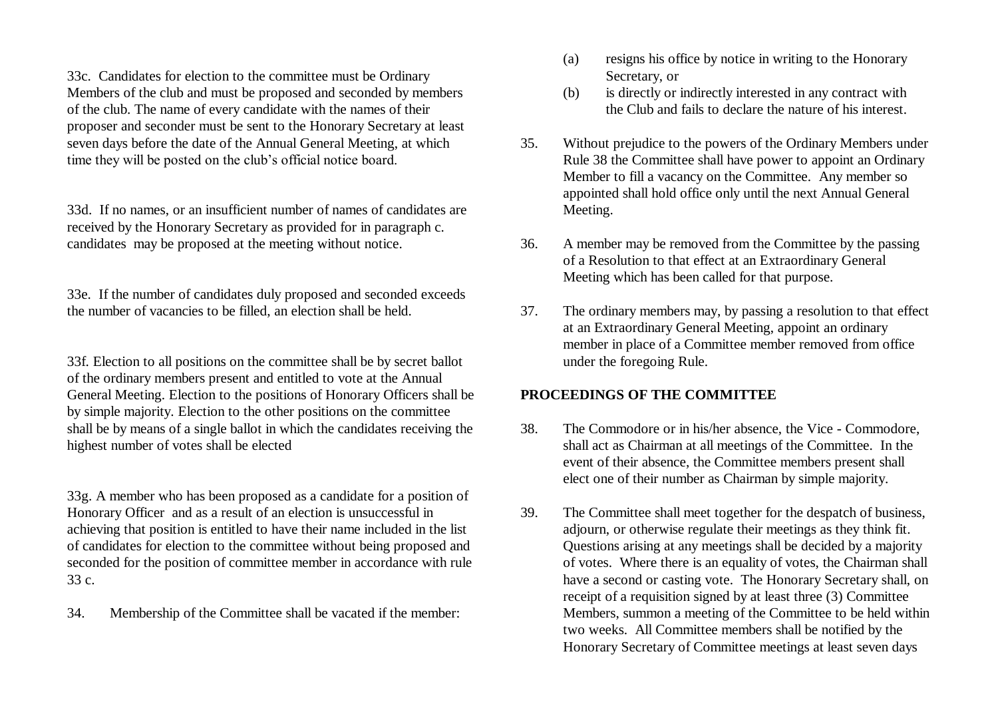33c. Candidates for election to the committee must be Ordinary Members of the club and must be proposed and seconded by members of the club. The name of every candidate with the names of their proposer and seconder must be sent to the Honorary Secretary at least seven days before the date of the Annual General Meeting, at which time they will be posted on the club's official notice board.

33d. If no names, or an insufficient number of names of candidates are received by the Honorary Secretary as provided for in paragraph c. candidates may be proposed at the meeting without notice.

33e. If the number of candidates duly proposed and seconded exceeds the number of vacancies to be filled, an election shall be held.

33f. Election to all positions on the committee shall be by secret ballot of the ordinary members present and entitled to vote at the Annual General Meeting. Election to the positions of Honorary Officers shall be by simple majority. Election to the other positions on the committee shall be by means of a single ballot in which the candidates receiving the highest number of votes shall be elected

33g. A member who has been proposed as a candidate for a position of Honorary Officer and as a result of an election is unsuccessful in achieving that position is entitled to have their name included in the list of candidates for election to the committee without being proposed and seconded for the position of committee member in accordance with rule 33 c.

34. Membership of the Committee shall be vacated if the member:

- (a) resigns his office by notice in writing to the Honorary Secretary, or
- (b) is directly or indirectly interested in any contract with the Club and fails to declare the nature of his interest.
- 35. Without prejudice to the powers of the Ordinary Members under Rule 38 the Committee shall have power to appoint an Ordinary Member to fill a vacancy on the Committee. Any member so appointed shall hold office only until the next Annual General Meeting.
- 36. A member may be removed from the Committee by the passing of a Resolution to that effect at an Extraordinary General Meeting which has been called for that purpose.
- 37. The ordinary members may, by passing a resolution to that effect at an Extraordinary General Meeting, appoint an ordinary member in place of a Committee member removed from office under the foregoing Rule.

#### **PROCEEDINGS OF THE COMMITTEE**

- 38. The Commodore or in his/her absence, the Vice Commodore, shall act as Chairman at all meetings of the Committee. In the event of their absence, the Committee members present shall elect one of their number as Chairman by simple majority.
- 39. The Committee shall meet together for the despatch of business, adjourn, or otherwise regulate their meetings as they think fit. Questions arising at any meetings shall be decided by a majority of votes. Where there is an equality of votes, the Chairman shall have a second or casting vote. The Honorary Secretary shall, on receipt of a requisition signed by at least three (3) Committee Members, summon a meeting of the Committee to be held within two weeks. All Committee members shall be notified by the Honorary Secretary of Committee meetings at least seven days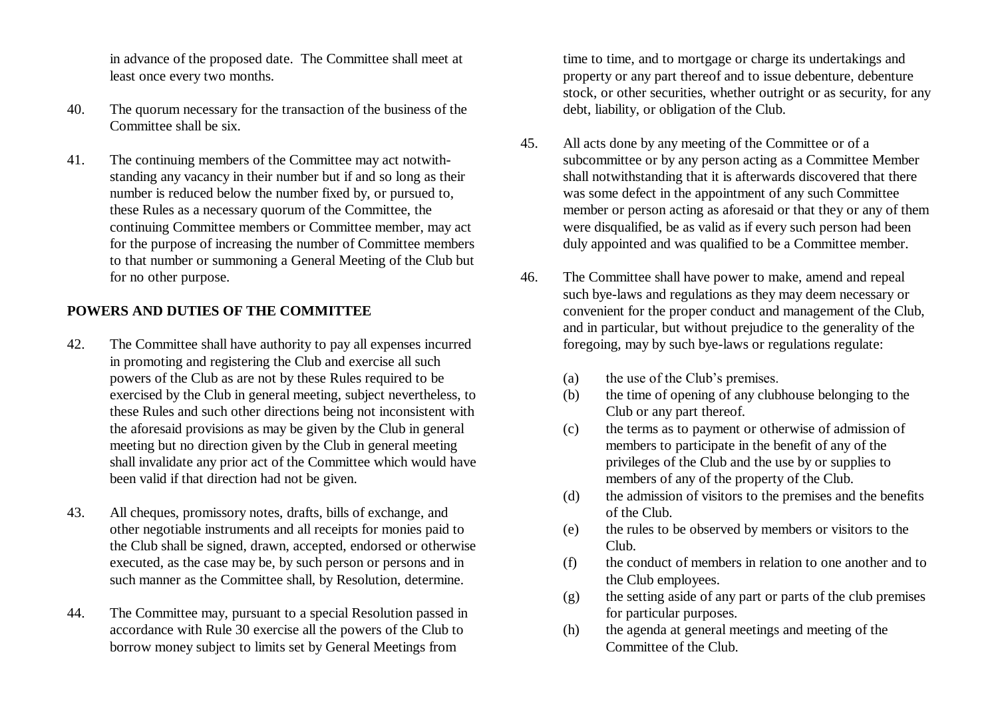in advance of the proposed date. The Committee shall meet at least once every two months.

- 40. The quorum necessary for the transaction of the business of the Committee shall be six.
- 41. The continuing members of the Committee may act notwithstanding any vacancy in their number but if and so long as their number is reduced below the number fixed by, or pursued to, these Rules as a necessary quorum of the Committee, the continuing Committee members or Committee member, may act for the purpose of increasing the number of Committee members to that number or summoning a General Meeting of the Club but for no other purpose.

### **POWERS AND DUTIES OF THE COMMITTEE**

- 42. The Committee shall have authority to pay all expenses incurred in promoting and registering the Club and exercise all such powers of the Club as are not by these Rules required to be exercised by the Club in general meeting, subject nevertheless, to these Rules and such other directions being not inconsistent with the aforesaid provisions as may be given by the Club in general meeting but no direction given by the Club in general meeting shall invalidate any prior act of the Committee which would have been valid if that direction had not be given.
- 43. All cheques, promissory notes, drafts, bills of exchange, and other negotiable instruments and all receipts for monies paid to the Club shall be signed, drawn, accepted, endorsed or otherwise executed, as the case may be, by such person or persons and in such manner as the Committee shall, by Resolution, determine.
- 44. The Committee may, pursuant to a special Resolution passed in accordance with Rule 30 exercise all the powers of the Club to borrow money subject to limits set by General Meetings from

time to time, and to mortgage or charge its undertakings and property or any part thereof and to issue debenture, debenture stock, or other securities, whether outright or as security, for any debt, liability, or obligation of the Club.

- 45. All acts done by any meeting of the Committee or of a subcommittee or by any person acting as a Committee Member shall notwithstanding that it is afterwards discovered that there was some defect in the appointment of any such Committee member or person acting as aforesaid or that they or any of them were disqualified, be as valid as if every such person had been duly appointed and was qualified to be a Committee member.
- 46. The Committee shall have power to make, amend and repeal such bye-laws and regulations as they may deem necessary or convenient for the proper conduct and management of the Club, and in particular, but without prejudice to the generality of the foregoing, may by such bye-laws or regulations regulate:
	- (a) the use of the Club's premises.
	- (b) the time of opening of any clubhouse belonging to the Club or any part thereof.
	- (c) the terms as to payment or otherwise of admission of members to participate in the benefit of any of the privileges of the Club and the use by or supplies to members of any of the property of the Club.
	- (d) the admission of visitors to the premises and the benefits of the Club.
	- (e) the rules to be observed by members or visitors to the Club.
	- (f) the conduct of members in relation to one another and to the Club employees.
	- (g) the setting aside of any part or parts of the club premises for particular purposes.
	- (h) the agenda at general meetings and meeting of the Committee of the Club.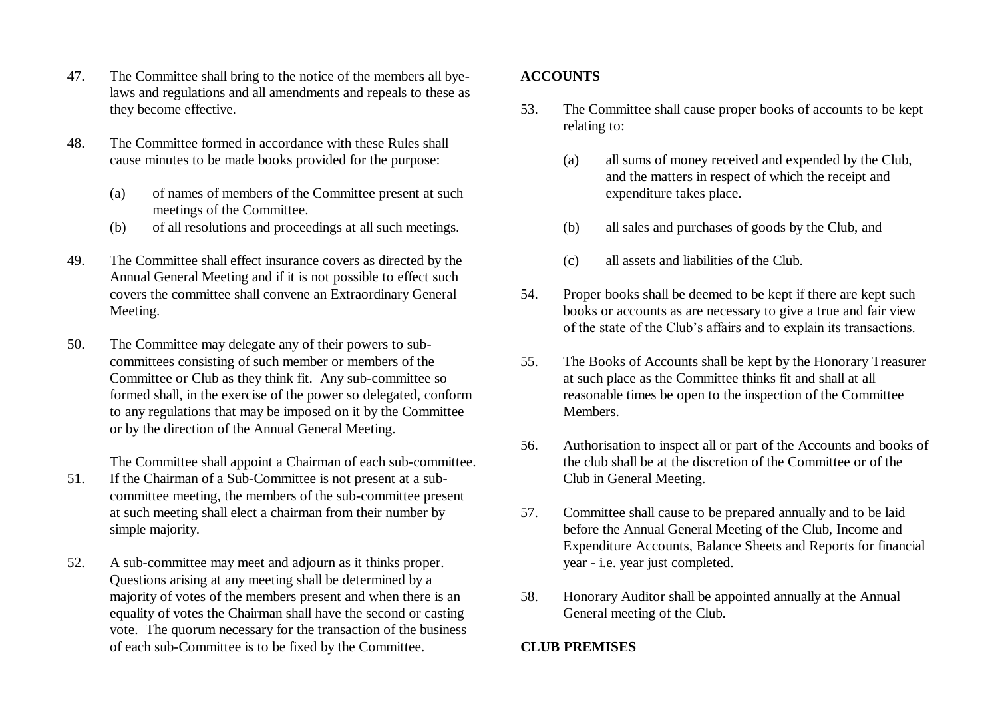- 47. The Committee shall bring to the notice of the members all byelaws and regulations and all amendments and repeals to these as they become effective.
- 48. The Committee formed in accordance with these Rules shall cause minutes to be made books provided for the purpose:
	- (a) of names of members of the Committee present at such meetings of the Committee.
	- (b) of all resolutions and proceedings at all such meetings.
- 49. The Committee shall effect insurance covers as directed by the Annual General Meeting and if it is not possible to effect such covers the committee shall convene an Extraordinary General Meeting.
- 50. The Committee may delegate any of their powers to subcommittees consisting of such member or members of the Committee or Club as they think fit. Any sub-committee so formed shall, in the exercise of the power so delegated, conform to any regulations that may be imposed on it by the Committee or by the direction of the Annual General Meeting.

The Committee shall appoint a Chairman of each sub-committee.

- 51. If the Chairman of a Sub-Committee is not present at a subcommittee meeting, the members of the sub-committee present at such meeting shall elect a chairman from their number by simple majority.
- 52. A sub-committee may meet and adjourn as it thinks proper. Questions arising at any meeting shall be determined by a majority of votes of the members present and when there is an equality of votes the Chairman shall have the second or casting vote. The quorum necessary for the transaction of the business of each sub-Committee is to be fixed by the Committee.

# **ACCOUNTS**

- 53. The Committee shall cause proper books of accounts to be kept relating to:
	- (a) all sums of money received and expended by the Club, and the matters in respect of which the receipt and expenditure takes place.
	- (b) all sales and purchases of goods by the Club, and
	- (c) all assets and liabilities of the Club.
- 54. Proper books shall be deemed to be kept if there are kept such books or accounts as are necessary to give a true and fair view of the state of the Club's affairs and to explain its transactions.
- 55. The Books of Accounts shall be kept by the Honorary Treasurer at such place as the Committee thinks fit and shall at all reasonable times be open to the inspection of the Committee **Members**
- 56. Authorisation to inspect all or part of the Accounts and books of the club shall be at the discretion of the Committee or of the Club in General Meeting.
- 57. Committee shall cause to be prepared annually and to be laid before the Annual General Meeting of the Club, Income and Expenditure Accounts, Balance Sheets and Reports for financial year - i.e. year just completed.
- 58. Honorary Auditor shall be appointed annually at the Annual General meeting of the Club.

## **CLUB PREMISES**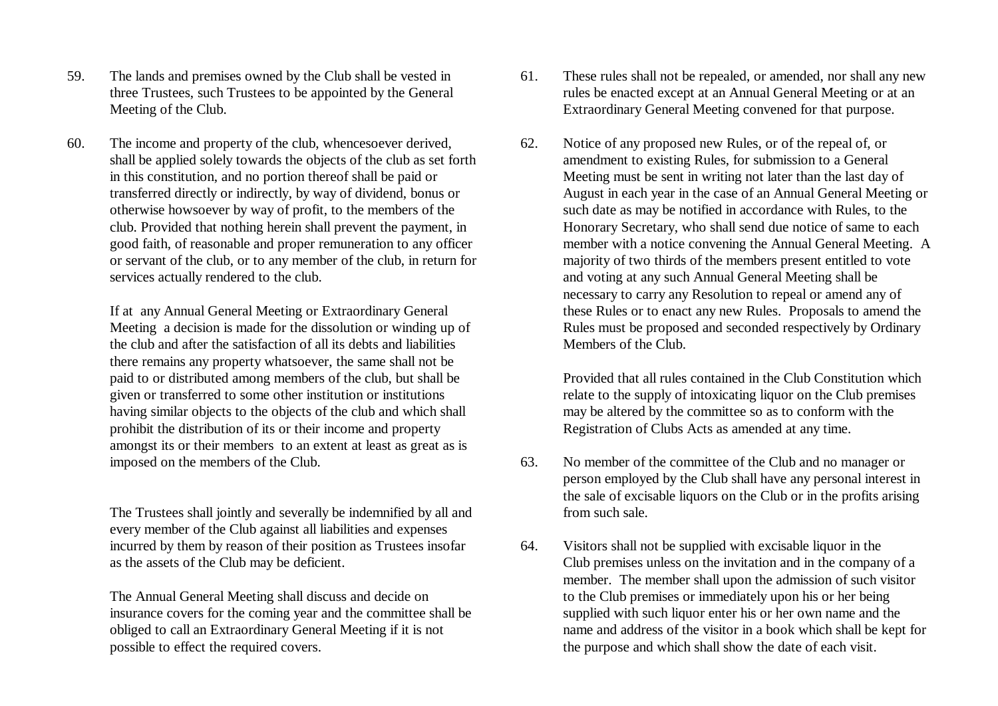- 59. The lands and premises owned by the Club shall be vested in three Trustees, such Trustees to be appointed by the General Meeting of the Club.
- 60. The income and property of the club, whencesoever derived, shall be applied solely towards the objects of the club as set forth in this constitution, and no portion thereof shall be paid or transferred directly or indirectly, by way of dividend, bonus or otherwise howsoever by way of profit, to the members of the club. Provided that nothing herein shall prevent the payment, in good faith, of reasonable and proper remuneration to any officer or servant of the club, or to any member of the club, in return for services actually rendered to the club.

If at any Annual General Meeting or Extraordinary General Meeting a decision is made for the dissolution or winding up of the club and after the satisfaction of all its debts and liabilities there remains any property whatsoever, the same shall not be paid to or distributed among members of the club, but shall be given or transferred to some other institution or institutions having similar objects to the objects of the club and which shall prohibit the distribution of its or their income and property amongst its or their members to an extent at least as great as is imposed on the members of the Club.

The Trustees shall jointly and severally be indemnified by all and every member of the Club against all liabilities and expenses incurred by them by reason of their position as Trustees insofar as the assets of the Club may be deficient.

The Annual General Meeting shall discuss and decide on insurance covers for the coming year and the committee shall be obliged to call an Extraordinary General Meeting if it is not possible to effect the required covers.

- 61. These rules shall not be repealed, or amended, nor shall any new rules be enacted except at an Annual General Meeting or at an Extraordinary General Meeting convened for that purpose.
- 62. Notice of any proposed new Rules, or of the repeal of, or amendment to existing Rules, for submission to a General Meeting must be sent in writing not later than the last day of August in each year in the case of an Annual General Meeting or such date as may be notified in accordance with Rules, to the Honorary Secretary, who shall send due notice of same to each member with a notice convening the Annual General Meeting. A majority of two thirds of the members present entitled to vote and voting at any such Annual General Meeting shall be necessary to carry any Resolution to repeal or amend any of these Rules or to enact any new Rules. Proposals to amend the Rules must be proposed and seconded respectively by Ordinary Members of the Club.

Provided that all rules contained in the Club Constitution which relate to the supply of intoxicating liquor on the Club premises may be altered by the committee so as to conform with the Registration of Clubs Acts as amended at any time.

- 63. No member of the committee of the Club and no manager or person employed by the Club shall have any personal interest in the sale of excisable liquors on the Club or in the profits arising from such sale.
- 64. Visitors shall not be supplied with excisable liquor in the Club premises unless on the invitation and in the company of a member. The member shall upon the admission of such visitor to the Club premises or immediately upon his or her being supplied with such liquor enter his or her own name and the name and address of the visitor in a book which shall be kept for the purpose and which shall show the date of each visit.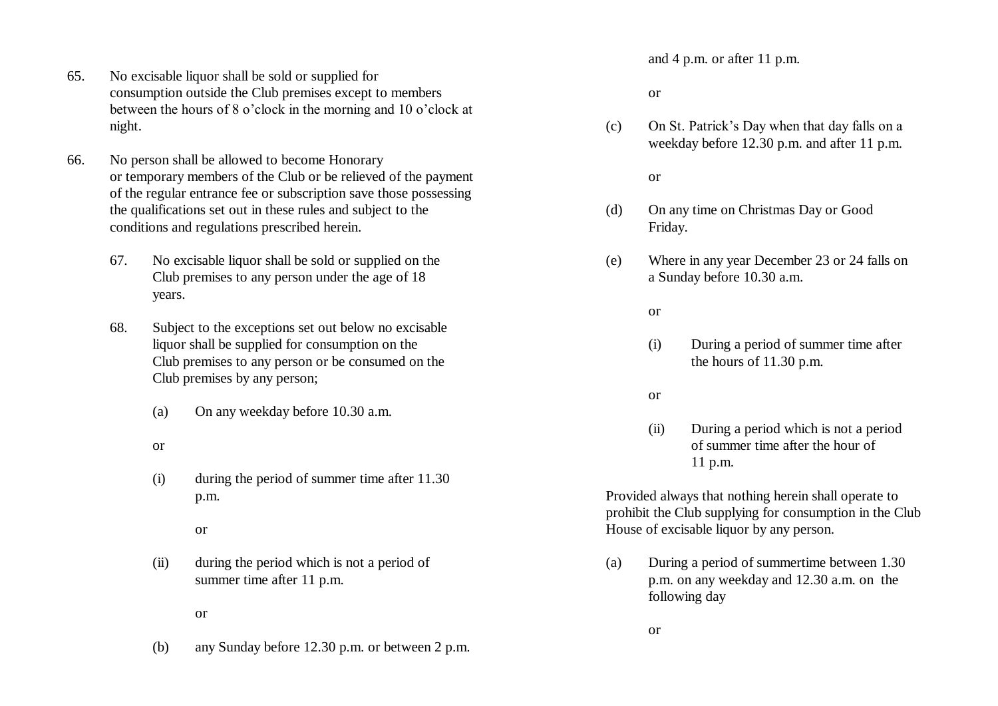- 65. No excisable liquor shall be sold or supplied for consumption outside the Club premises except to members between the hours of 8 o'clock in the morning and 10 o'clock at night.
- 66. No person shall be allowed to become Honorary or temporary members of the Club or be relieved of the payment of the regular entrance fee or subscription save those possessing the qualifications set out in these rules and subject to the conditions and regulations prescribed herein.
	- 67. No excisable liquor shall be sold or supplied on the Club premises to any person under the age of 18 years.
	- 68. Subject to the exceptions set out below no excisable liquor shall be supplied for consumption on the Club premises to any person or be consumed on the Club premises by any person;
		- (a) On any weekday before 10.30 a.m.
		- or
		- (i) during the period of summer time after 11.30 p.m.

#### or

- (ii) during the period which is not a period of summer time after 11 p.m.
	- or
- (b) any Sunday before 12.30 p.m. or between 2 p.m.

and 4 p.m. or after 11 p.m.

#### or

(c) On St. Patrick's Day when that day falls on a weekday before 12.30 p.m. and after 11 p.m.

#### or

- (d) On any time on Christmas Day or Good Friday.
- (e) Where in any year December 23 or 24 falls on a Sunday before 10.30 a.m.

#### or

(i) During a period of summer time after the hours of 11.30 p.m.

#### or

(ii) During a period which is not a period of summer time after the hour of 11 p.m.

Provided always that nothing herein shall operate to prohibit the Club supplying for consumption in the Club House of excisable liquor by any person.

(a) During a period of summertime between 1.30 p.m. on any weekday and 12.30 a.m. on the following day